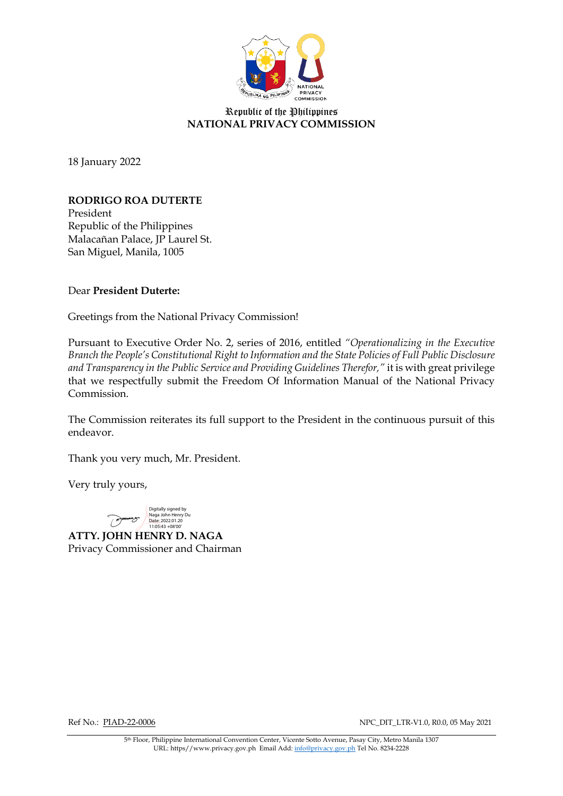

# Republic of the Philippines **NATIONAL PRIVACY COMMISSION**

18 January 2022

# **RODRIGO ROA DUTERTE**

President Republic of the Philippines Malacañan Palace, JP Laurel St. San Miguel, Manila, 1005

### Dear **President Duterte:**

Greetings from the National Privacy Commission!

Pursuant to Executive Order No. 2, series of 2016, entitled *"Operationalizing in the Executive Branch the People's Constitutional Right to Information and the State Policies of Full Public Disclosure and Transparency in the Public Service and Providing Guidelines Therefor,"* it is with great privilege that we respectfully submit the Freedom Of Information Manual of the National Privacy Commission.

The Commission reiterates its full support to the President in the continuous pursuit of this endeavor.

Thank you very much, Mr. President.

Very truly yours,



**ATTY. JOHN HENRY D. NAGA** Privacy Commissioner and Chairman

Ref No.: PIAD-22-0006 NPC\_DIT\_LTR-V1.0, R0.0, 05 May 2021

5th Floor, Philippine International Convention Center, Vicente Sotto Avenue, Pasay City, Metro Manila 1307 URL: https//www.privacy.gov.ph Email Add[: info@privacy.gov.ph](mailto:info@privacy.gov.ph) Tel No. 8234-2228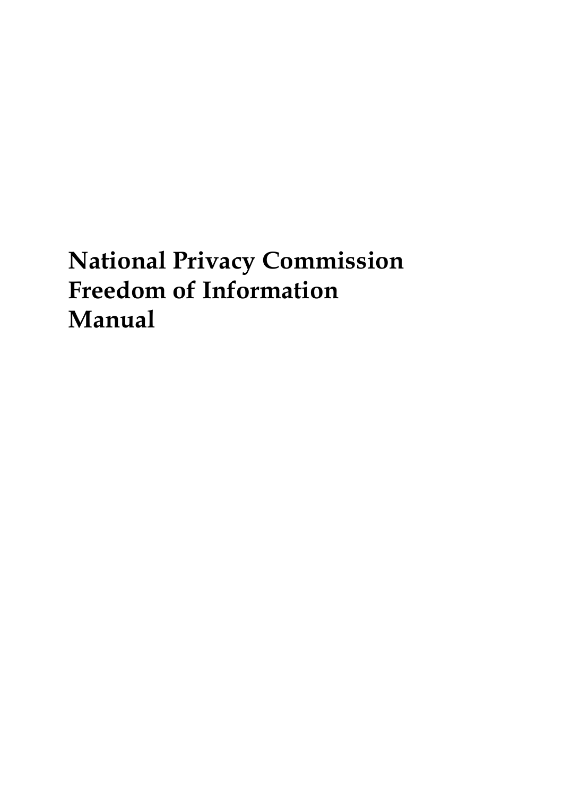# **National Privacy Commission Freedom of Information Manual**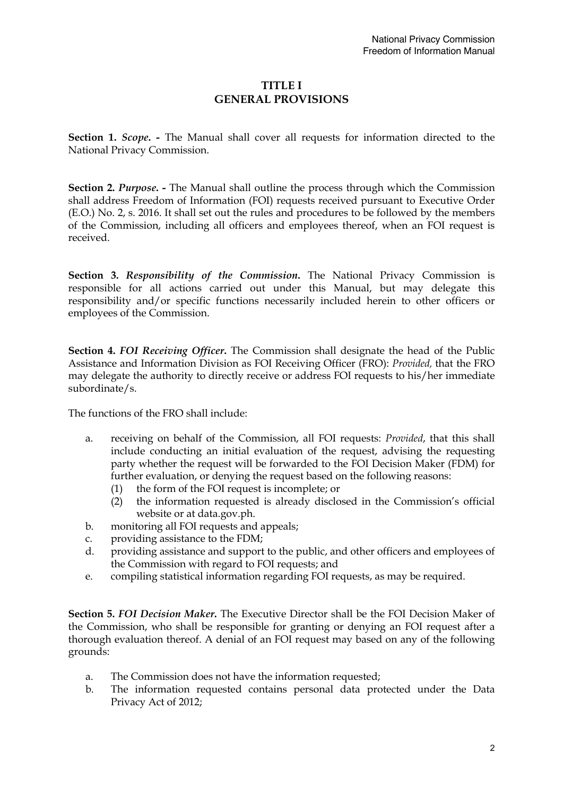# **TITLE I GENERAL PROVISIONS**

**Section 1.** *Scope***. -** The Manual shall cover all requests for information directed to the National Privacy Commission.

**Section 2. Purpose. -** The Manual shall outline the process through which the Commission shall address Freedom of Information (FOI) requests received pursuant to Executive Order (E.O.) No. 2, s. 2016. It shall set out the rules and procedures to be followed by the members of the Commission, including all officers and employees thereof, when an FOI request is received.

**Section 3.** *Responsibility of the Commission***.** The National Privacy Commission is responsible for all actions carried out under this Manual, but may delegate this responsibility and/or specific functions necessarily included herein to other officers or employees of the Commission.

**Section 4.** *FOI Receiving Officer***.** The Commission shall designate the head of the Public Assistance and Information Division as FOI Receiving Officer (FRO): *Provided,* that the FRO may delegate the authority to directly receive or address FOI requests to his/her immediate subordinate/s.

The functions of the FRO shall include:

- a. receiving on behalf of the Commission, all FOI requests: *Provided*, that this shall include conducting an initial evaluation of the request, advising the requesting party whether the request will be forwarded to the FOI Decision Maker (FDM) for further evaluation, or denying the request based on the following reasons:
	- (1) the form of the FOI request is incomplete; or
	- (2) the information requested is already disclosed in the Commission's official website or at data.gov.ph.
- b. monitoring all FOI requests and appeals;
- c. providing assistance to the FDM;
- d. providing assistance and support to the public, and other officers and employees of the Commission with regard to FOI requests; and
- e. compiling statistical information regarding FOI requests, as may be required.

**Section 5.** *FOI Decision Maker***.** The Executive Director shall be the FOI Decision Maker of the Commission, who shall be responsible for granting or denying an FOI request after a thorough evaluation thereof. A denial of an FOI request may based on any of the following grounds:

- a. The Commission does not have the information requested;
- b. The information requested contains personal data protected under the Data Privacy Act of 2012;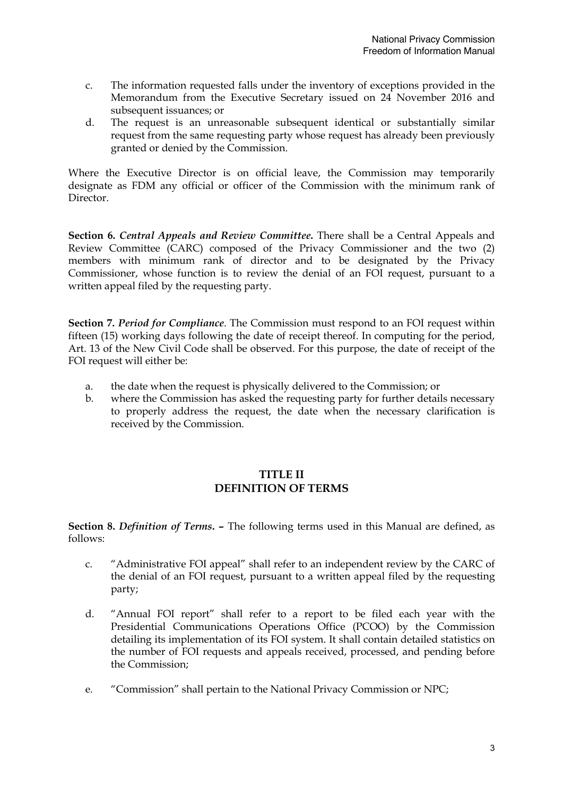- c. The information requested falls under the inventory of exceptions provided in the Memorandum from the Executive Secretary issued on 24 November 2016 and subsequent issuances; or
- d. The request is an unreasonable subsequent identical or substantially similar request from the same requesting party whose request has already been previously granted or denied by the Commission.

Where the Executive Director is on official leave, the Commission may temporarily designate as FDM any official or officer of the Commission with the minimum rank of Director.

**Section 6.** *Central Appeals and Review Committee***.** There shall be a Central Appeals and Review Committee (CARC) composed of the Privacy Commissioner and the two (2) members with minimum rank of director and to be designated by the Privacy Commissioner, whose function is to review the denial of an FOI request, pursuant to a written appeal filed by the requesting party.

**Section 7.** *Period for Compliance*. The Commission must respond to an FOI request within fifteen (15) working days following the date of receipt thereof. In computing for the period, Art. 13 of the New Civil Code shall be observed. For this purpose, the date of receipt of the FOI request will either be:

- a. the date when the request is physically delivered to the Commission; or
- b. where the Commission has asked the requesting party for further details necessary to properly address the request, the date when the necessary clarification is received by the Commission.

# **TITLE II DEFINITION OF TERMS**

**Section 8.** *Definition of Terms***. –** The following terms used in this Manual are defined, as follows:

- c. "Administrative FOI appeal" shall refer to an independent review by the CARC of the denial of an FOI request, pursuant to a written appeal filed by the requesting party;
- d. "Annual FOI report" shall refer to a report to be filed each year with the Presidential Communications Operations Office (PCOO) by the Commission detailing its implementation of its FOI system. It shall contain detailed statistics on the number of FOI requests and appeals received, processed, and pending before the Commission;
- e. "Commission" shall pertain to the National Privacy Commission or NPC;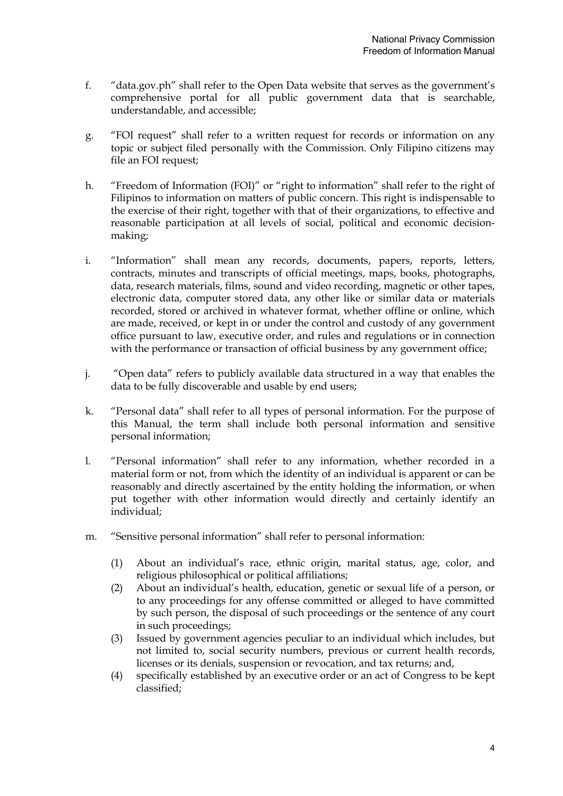- f. "data.gov.ph" shall refer to the Open Data website that serves as the government's comprehensive portal for all public government data that is searchable, understandable, and accessible;
- g. "FOI request" shall refer to a written request for records or information on any topic or subject filed personally with the Commission. Only Filipino citizens may file an FOI request;
- h. "Freedom of Information (FOI)" or "right to information" shall refer to the right of Filipinos to information on matters of public concern. This right is indispensable to the exercise of their right, together with that of their organizations, to effective and reasonable participation at all levels of social, political and economic decisionmaking;
- i. "Information" shall mean any records, documents, papers, reports, letters, contracts, minutes and transcripts of official meetings, maps, books, photographs, data, research materials, films, sound and video recording, magnetic or other tapes, electronic data, computer stored data, any other like or similar data or materials recorded, stored or archived in whatever format, whether offline or online, which are made, received, or kept in or under the control and custody of any government office pursuant to law, executive order, and rules and regulations or in connection with the performance or transaction of official business by any government office;
- j. "Open data" refers to publicly available data structured in a way that enables the data to be fully discoverable and usable by end users;
- k. "Personal data" shall refer to all types of personal information. For the purpose of this Manual, the term shall include both personal information and sensitive personal information;
- l. "Personal information" shall refer to any information, whether recorded in a material form or not, from which the identity of an individual is apparent or can be reasonably and directly ascertained by the entity holding the information, or when put together with other information would directly and certainly identify an individual;
- m. "Sensitive personal information" shall refer to personal information:
	- (1) About an individual's race, ethnic origin, marital status, age, color, and religious philosophical or political affiliations;
	- (2) About an individual's health, education, genetic or sexual life of a person, or to any proceedings for any offense committed or alleged to have committed by such person, the disposal of such proceedings or the sentence of any court in such proceedings;
	- (3) Issued by government agencies peculiar to an individual which includes, but not limited to, social security numbers, previous or current health records, licenses or its denials, suspension or revocation, and tax returns; and,
	- (4) specifically established by an executive order or an act of Congress to be kept classified;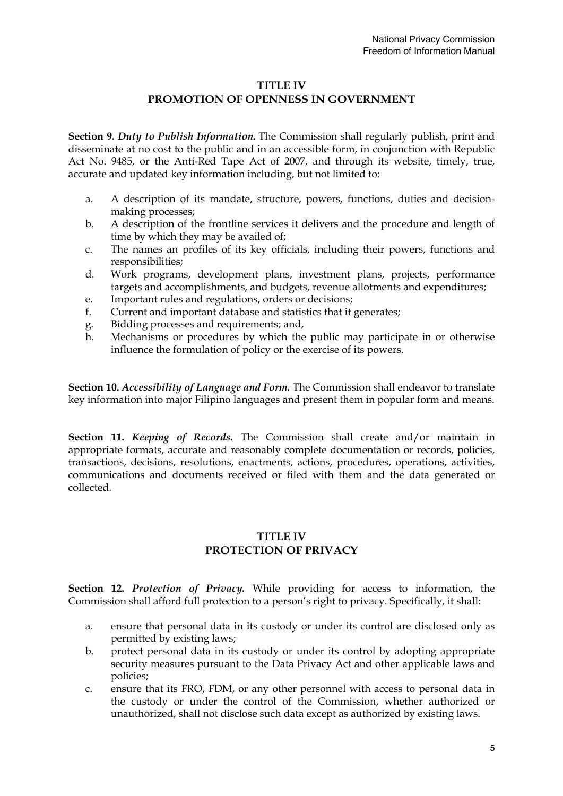### **TITLE IV**

# **PROMOTION OF OPENNESS IN GOVERNMENT**

**Section 9.** *Duty to Publish Information.* The Commission shall regularly publish, print and disseminate at no cost to the public and in an accessible form, in conjunction with Republic Act No. 9485, or the Anti-Red Tape Act of 2007, and through its website, timely, true, accurate and updated key information including, but not limited to:

- a. A description of its mandate, structure, powers, functions, duties and decisionmaking processes;
- b. A description of the frontline services it delivers and the procedure and length of time by which they may be availed of;
- c. The names an profiles of its key officials, including their powers, functions and responsibilities;
- d. Work programs, development plans, investment plans, projects, performance targets and accomplishments, and budgets, revenue allotments and expenditures;
- e. Important rules and regulations, orders or decisions;
- f. Current and important database and statistics that it generates;
- g. Bidding processes and requirements; and,
- h. Mechanisms or procedures by which the public may participate in or otherwise influence the formulation of policy or the exercise of its powers.

**Section 10.** *Accessibility of Language and Form.* The Commission shall endeavor to translate key information into major Filipino languages and present them in popular form and means.

**Section 11.** *Keeping of Records.* The Commission shall create and/or maintain in appropriate formats, accurate and reasonably complete documentation or records, policies, transactions, decisions, resolutions, enactments, actions, procedures, operations, activities, communications and documents received or filed with them and the data generated or collected.

# **TITLE IV PROTECTION OF PRIVACY**

**Section 12.** *Protection of Privacy.* While providing for access to information, the Commission shall afford full protection to a person's right to privacy. Specifically, it shall:

- a. ensure that personal data in its custody or under its control are disclosed only as permitted by existing laws;
- b. protect personal data in its custody or under its control by adopting appropriate security measures pursuant to the Data Privacy Act and other applicable laws and policies;
- c. ensure that its FRO, FDM, or any other personnel with access to personal data in the custody or under the control of the Commission, whether authorized or unauthorized, shall not disclose such data except as authorized by existing laws.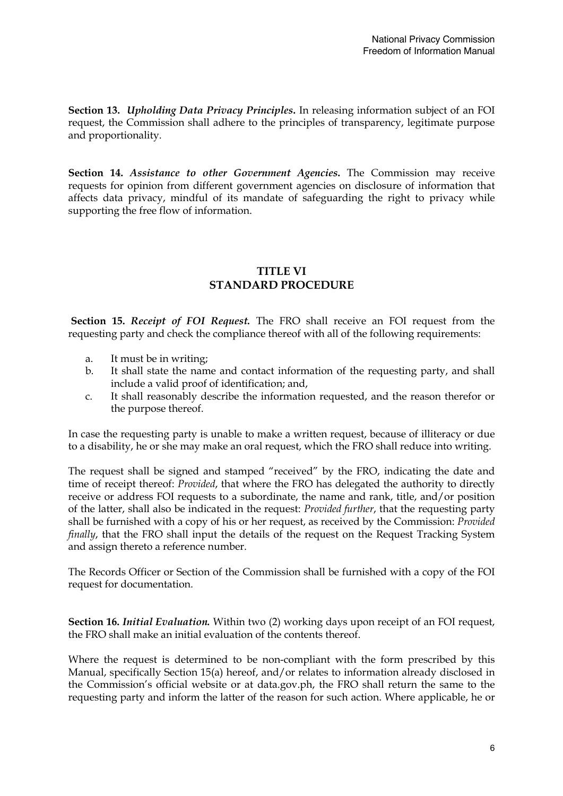**Section 13.** *Upholding Data Privacy Principles***.** In releasing information subject of an FOI request, the Commission shall adhere to the principles of transparency, legitimate purpose and proportionality.

**Section 14.** *Assistance to other Government Agencies***.** The Commission may receive requests for opinion from different government agencies on disclosure of information that affects data privacy, mindful of its mandate of safeguarding the right to privacy while supporting the free flow of information.

# **TITLE VI STANDARD PROCEDURE**

**Section 15.** *Receipt of FOI Request.* The FRO shall receive an FOI request from the requesting party and check the compliance thereof with all of the following requirements:

- a. It must be in writing;
- b. It shall state the name and contact information of the requesting party, and shall include a valid proof of identification; and,
- c. It shall reasonably describe the information requested, and the reason therefor or the purpose thereof.

In case the requesting party is unable to make a written request, because of illiteracy or due to a disability, he or she may make an oral request, which the FRO shall reduce into writing.

The request shall be signed and stamped "received" by the FRO, indicating the date and time of receipt thereof: *Provided*, that where the FRO has delegated the authority to directly receive or address FOI requests to a subordinate, the name and rank, title, and/or position of the latter, shall also be indicated in the request: *Provided further*, that the requesting party shall be furnished with a copy of his or her request, as received by the Commission: *Provided finally*, that the FRO shall input the details of the request on the Request Tracking System and assign thereto a reference number.

The Records Officer or Section of the Commission shall be furnished with a copy of the FOI request for documentation.

**Section 16.** *Initial Evaluation.* Within two (2) working days upon receipt of an FOI request, the FRO shall make an initial evaluation of the contents thereof.

Where the request is determined to be non-compliant with the form prescribed by this Manual, specifically Section 15(a) hereof, and/or relates to information already disclosed in the Commission's official website or at data.gov.ph, the FRO shall return the same to the requesting party and inform the latter of the reason for such action. Where applicable, he or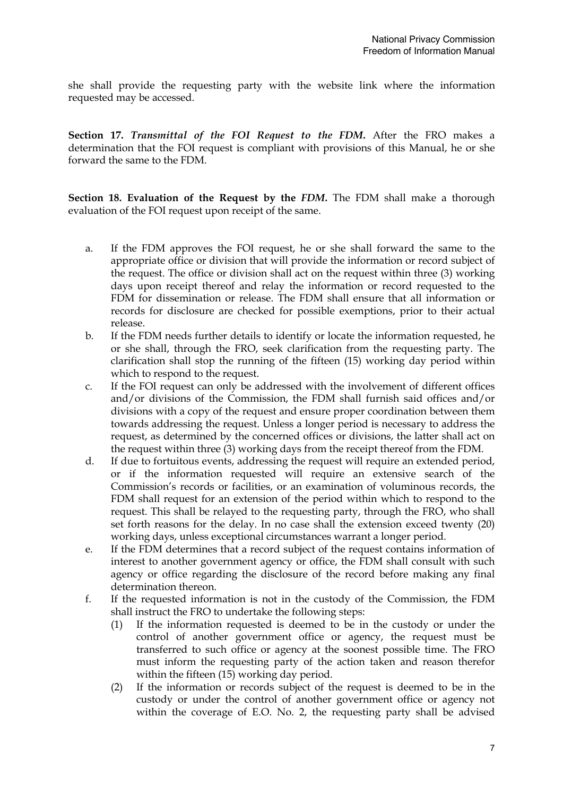she shall provide the requesting party with the website link where the information requested may be accessed.

**Section 17.** *Transmittal of the FOI Request to the FDM***.** After the FRO makes a determination that the FOI request is compliant with provisions of this Manual, he or she forward the same to the FDM.

**Section 18. Evaluation of the Request by the** *FDM***.** The FDM shall make a thorough evaluation of the FOI request upon receipt of the same.

- a. If the FDM approves the FOI request, he or she shall forward the same to the appropriate office or division that will provide the information or record subject of the request. The office or division shall act on the request within three (3) working days upon receipt thereof and relay the information or record requested to the FDM for dissemination or release. The FDM shall ensure that all information or records for disclosure are checked for possible exemptions, prior to their actual release.
- b. If the FDM needs further details to identify or locate the information requested, he or she shall, through the FRO, seek clarification from the requesting party. The clarification shall stop the running of the fifteen (15) working day period within which to respond to the request.
- c. If the FOI request can only be addressed with the involvement of different offices and/or divisions of the Commission, the FDM shall furnish said offices and/or divisions with a copy of the request and ensure proper coordination between them towards addressing the request. Unless a longer period is necessary to address the request, as determined by the concerned offices or divisions, the latter shall act on the request within three (3) working days from the receipt thereof from the FDM.
- d. If due to fortuitous events, addressing the request will require an extended period, or if the information requested will require an extensive search of the Commission's records or facilities, or an examination of voluminous records, the FDM shall request for an extension of the period within which to respond to the request. This shall be relayed to the requesting party, through the FRO, who shall set forth reasons for the delay. In no case shall the extension exceed twenty (20) working days, unless exceptional circumstances warrant a longer period.
- e. If the FDM determines that a record subject of the request contains information of interest to another government agency or office, the FDM shall consult with such agency or office regarding the disclosure of the record before making any final determination thereon.
- f. If the requested information is not in the custody of the Commission, the FDM shall instruct the FRO to undertake the following steps:
	- (1) If the information requested is deemed to be in the custody or under the control of another government office or agency, the request must be transferred to such office or agency at the soonest possible time. The FRO must inform the requesting party of the action taken and reason therefor within the fifteen (15) working day period.
	- (2) If the information or records subject of the request is deemed to be in the custody or under the control of another government office or agency not within the coverage of E.O. No. 2, the requesting party shall be advised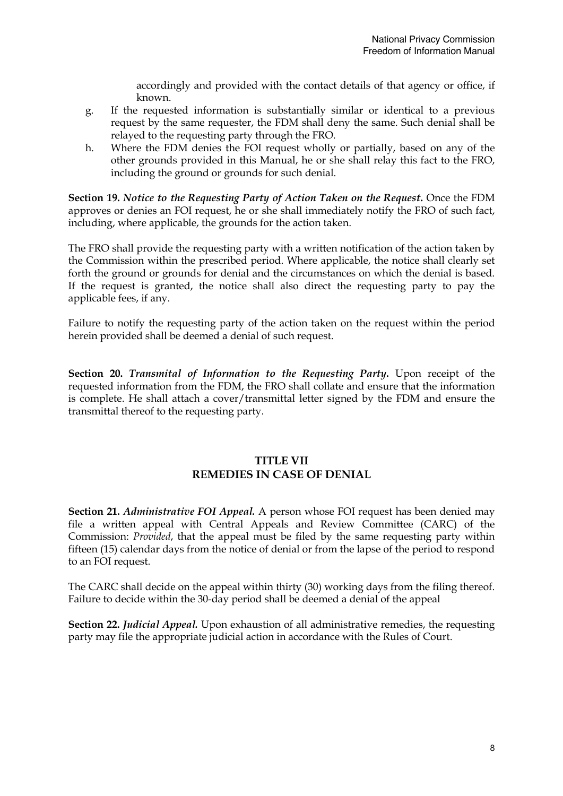accordingly and provided with the contact details of that agency or office, if known.

- g. If the requested information is substantially similar or identical to a previous request by the same requester, the FDM shall deny the same. Such denial shall be relayed to the requesting party through the FRO.
- h. Where the FDM denies the FOI request wholly or partially, based on any of the other grounds provided in this Manual, he or she shall relay this fact to the FRO, including the ground or grounds for such denial.

**Section 19.** *Notice to the Requesting Party of Action Taken on the Request***.** Once the FDM approves or denies an FOI request, he or she shall immediately notify the FRO of such fact, including, where applicable, the grounds for the action taken.

The FRO shall provide the requesting party with a written notification of the action taken by the Commission within the prescribed period. Where applicable, the notice shall clearly set forth the ground or grounds for denial and the circumstances on which the denial is based. If the request is granted, the notice shall also direct the requesting party to pay the applicable fees, if any.

Failure to notify the requesting party of the action taken on the request within the period herein provided shall be deemed a denial of such request.

**Section 20.** *Transmital of Information to the Requesting Party***.** Upon receipt of the requested information from the FDM, the FRO shall collate and ensure that the information is complete. He shall attach a cover/transmittal letter signed by the FDM and ensure the transmittal thereof to the requesting party.

# **TITLE VII REMEDIES IN CASE OF DENIAL**

**Section 21.** *Administrative FOI Appeal.* A person whose FOI request has been denied may file a written appeal with Central Appeals and Review Committee (CARC) of the Commission: *Provided*, that the appeal must be filed by the same requesting party within fifteen (15) calendar days from the notice of denial or from the lapse of the period to respond to an FOI request.

The CARC shall decide on the appeal within thirty (30) working days from the filing thereof. Failure to decide within the 30-day period shall be deemed a denial of the appeal

**Section 22.** *Judicial Appeal.* Upon exhaustion of all administrative remedies, the requesting party may file the appropriate judicial action in accordance with the Rules of Court.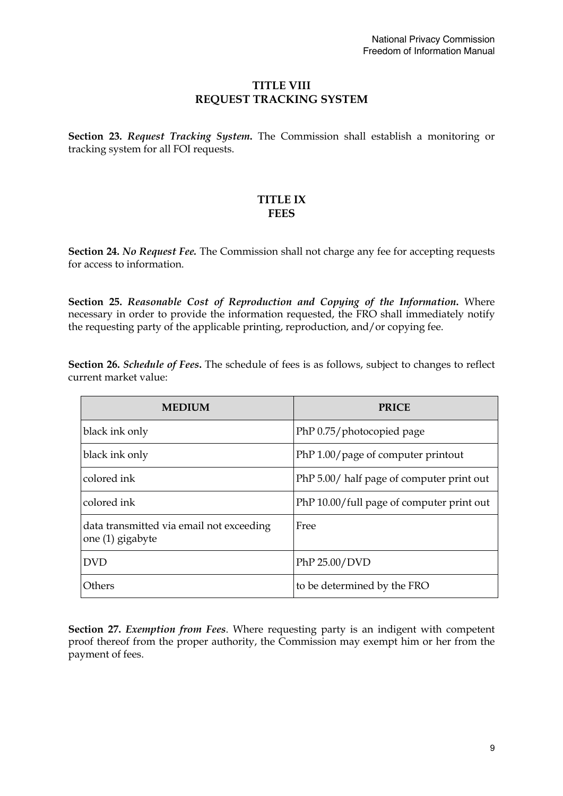# **TITLE VIII REQUEST TRACKING SYSTEM**

**Section 23.** *Request Tracking System***.** The Commission shall establish a monitoring or tracking system for all FOI requests.

# **TITLE IX FEES**

**Section 24.** *No Request Fee.* The Commission shall not charge any fee for accepting requests for access to information.

**Section 25.** *Reasonable Cost of Reproduction and Copying of the Information***.** Where necessary in order to provide the information requested, the FRO shall immediately notify the requesting party of the applicable printing, reproduction, and/or copying fee.

**Section 26.** *Schedule of Fees***.** The schedule of fees is as follows, subject to changes to reflect current market value:

| <b>MEDIUM</b>                                                | <b>PRICE</b>                              |
|--------------------------------------------------------------|-------------------------------------------|
| black ink only                                               | PhP 0.75/photocopied page                 |
| black ink only                                               | PhP 1.00/page of computer printout        |
| colored ink                                                  | PhP 5.00/ half page of computer print out |
| colored ink                                                  | PhP 10.00/full page of computer print out |
| data transmitted via email not exceeding<br>one (1) gigabyte | Free                                      |
| <b>DVD</b>                                                   | PhP 25.00/DVD                             |
| Others                                                       | to be determined by the FRO               |

**Section 27.** *Exemption from Fees*. Where requesting party is an indigent with competent proof thereof from the proper authority, the Commission may exempt him or her from the payment of fees.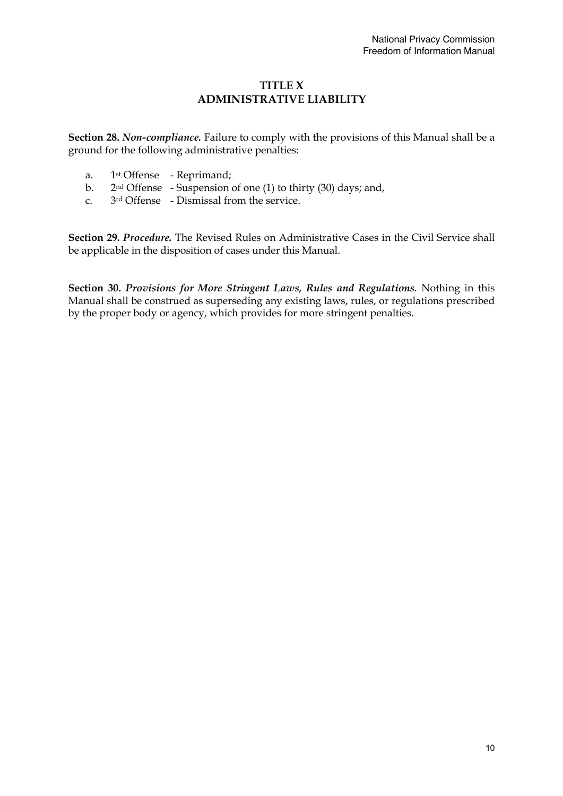# **TITLE X ADMINISTRATIVE LIABILITY**

**Section 28.** *Non-compliance.* Failure to comply with the provisions of this Manual shall be a ground for the following administrative penalties:

- a. 1st Offense Reprimand;
- b. 2nd Offense Suspension of one (1) to thirty (30) days; and,
- c. 3rd Offense Dismissal from the service.

**Section 29.** *Procedure.* The Revised Rules on Administrative Cases in the Civil Service shall be applicable in the disposition of cases under this Manual.

**Section 30.** *Provisions for More Stringent Laws, Rules and Regulations.* Nothing in this Manual shall be construed as superseding any existing laws, rules, or regulations prescribed by the proper body or agency, which provides for more stringent penalties.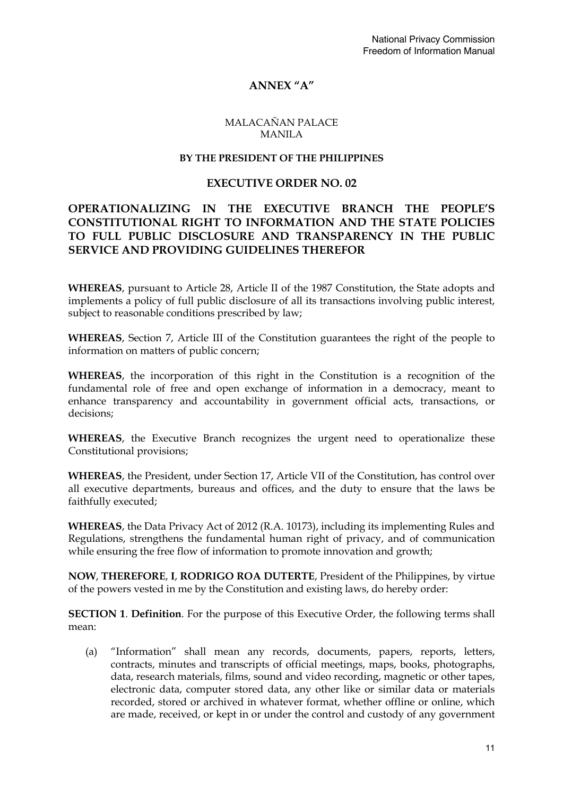# **ANNEX "A"**

### MALACAÑAN PALACE MANILA

### **BY THE PRESIDENT OF THE PHILIPPINES**

### **EXECUTIVE ORDER NO. 02**

# **OPERATIONALIZING IN THE EXECUTIVE BRANCH THE PEOPLE'S CONSTITUTIONAL RIGHT TO INFORMATION AND THE STATE POLICIES TO FULL PUBLIC DISCLOSURE AND TRANSPARENCY IN THE PUBLIC SERVICE AND PROVIDING GUIDELINES THEREFOR**

**WHEREAS**, pursuant to Article 28, Article II of the 1987 Constitution, the State adopts and implements a policy of full public disclosure of all its transactions involving public interest, subject to reasonable conditions prescribed by law;

**WHEREAS**, Section 7, Article III of the Constitution guarantees the right of the people to information on matters of public concern;

**WHEREAS**, the incorporation of this right in the Constitution is a recognition of the fundamental role of free and open exchange of information in a democracy, meant to enhance transparency and accountability in government official acts, transactions, or decisions;

**WHEREAS**, the Executive Branch recognizes the urgent need to operationalize these Constitutional provisions;

**WHEREAS**, the President, under Section 17, Article VII of the Constitution, has control over all executive departments, bureaus and offices, and the duty to ensure that the laws be faithfully executed;

**WHEREAS**, the Data Privacy Act of 2012 (R.A. 10173), including its implementing Rules and Regulations, strengthens the fundamental human right of privacy, and of communication while ensuring the free flow of information to promote innovation and growth;

**NOW**, **THEREFORE**, **I**, **RODRIGO ROA DUTERTE**, President of the Philippines, by virtue of the powers vested in me by the Constitution and existing laws, do hereby order:

**SECTION 1**. **Definition**. For the purpose of this Executive Order, the following terms shall mean:

(a) "Information" shall mean any records, documents, papers, reports, letters, contracts, minutes and transcripts of official meetings, maps, books, photographs, data, research materials, films, sound and video recording, magnetic or other tapes, electronic data, computer stored data, any other like or similar data or materials recorded, stored or archived in whatever format, whether offline or online, which are made, received, or kept in or under the control and custody of any government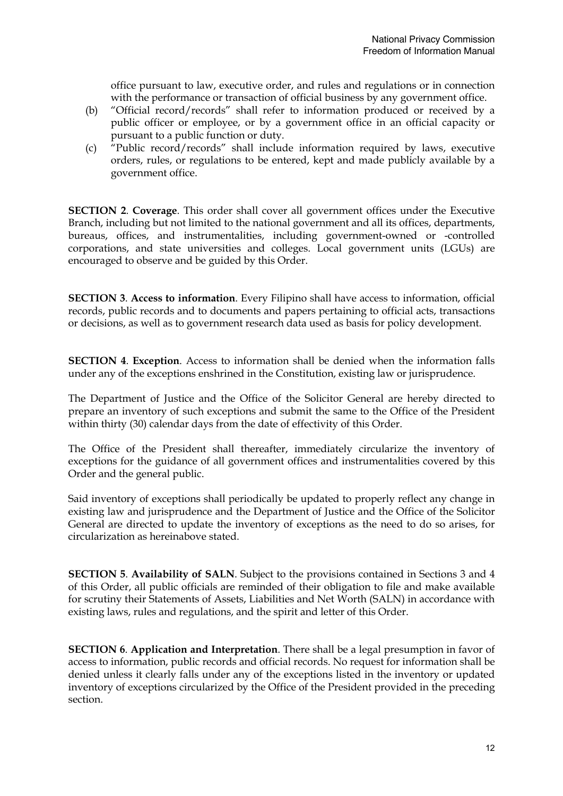office pursuant to law, executive order, and rules and regulations or in connection with the performance or transaction of official business by any government office.

- (b) "Official record/records" shall refer to information produced or received by a public officer or employee, or by a government office in an official capacity or pursuant to a public function or duty.
- (c) "Public record/records" shall include information required by laws, executive orders, rules, or regulations to be entered, kept and made publicly available by a government office.

**SECTION 2**. **Coverage**. This order shall cover all government offices under the Executive Branch, including but not limited to the national government and all its offices, departments, bureaus, offices, and instrumentalities, including government-owned or -controlled corporations, and state universities and colleges. Local government units (LGUs) are encouraged to observe and be guided by this Order.

**SECTION 3**. **Access to information**. Every Filipino shall have access to information, official records, public records and to documents and papers pertaining to official acts, transactions or decisions, as well as to government research data used as basis for policy development.

**SECTION 4**. **Exception**. Access to information shall be denied when the information falls under any of the exceptions enshrined in the Constitution, existing law or jurisprudence.

The Department of Justice and the Office of the Solicitor General are hereby directed to prepare an inventory of such exceptions and submit the same to the Office of the President within thirty (30) calendar days from the date of effectivity of this Order.

The Office of the President shall thereafter, immediately circularize the inventory of exceptions for the guidance of all government offices and instrumentalities covered by this Order and the general public.

Said inventory of exceptions shall periodically be updated to properly reflect any change in existing law and jurisprudence and the Department of Justice and the Office of the Solicitor General are directed to update the inventory of exceptions as the need to do so arises, for circularization as hereinabove stated.

**SECTION 5**. **Availability of SALN**. Subject to the provisions contained in Sections 3 and 4 of this Order, all public officials are reminded of their obligation to file and make available for scrutiny their Statements of Assets, Liabilities and Net Worth (SALN) in accordance with existing laws, rules and regulations, and the spirit and letter of this Order.

**SECTION 6**. **Application and Interpretation**. There shall be a legal presumption in favor of access to information, public records and official records. No request for information shall be denied unless it clearly falls under any of the exceptions listed in the inventory or updated inventory of exceptions circularized by the Office of the President provided in the preceding section.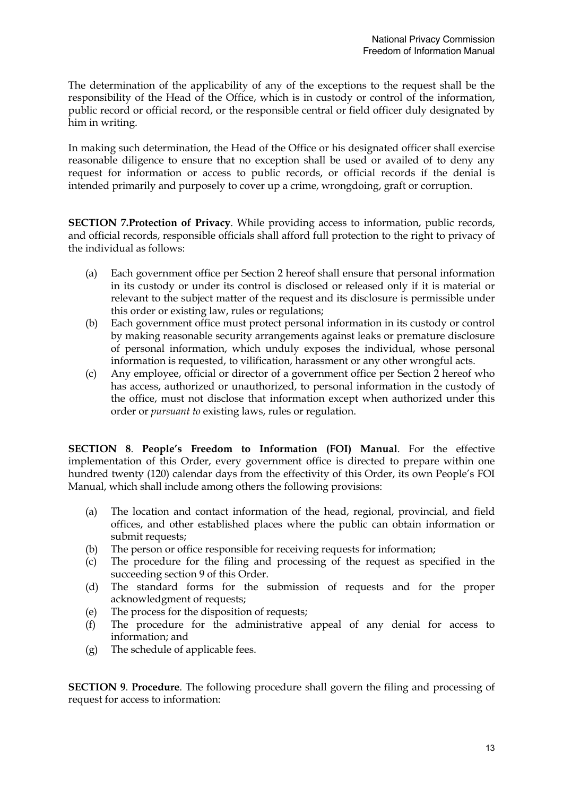The determination of the applicability of any of the exceptions to the request shall be the responsibility of the Head of the Office, which is in custody or control of the information, public record or official record, or the responsible central or field officer duly designated by him in writing.

In making such determination, the Head of the Office or his designated officer shall exercise reasonable diligence to ensure that no exception shall be used or availed of to deny any request for information or access to public records, or official records if the denial is intended primarily and purposely to cover up a crime, wrongdoing, graft or corruption.

**SECTION 7.Protection of Privacy**. While providing access to information, public records, and official records, responsible officials shall afford full protection to the right to privacy of the individual as follows:

- (a) Each government office per Section 2 hereof shall ensure that personal information in its custody or under its control is disclosed or released only if it is material or relevant to the subject matter of the request and its disclosure is permissible under this order or existing law, rules or regulations;
- (b) Each government office must protect personal information in its custody or control by making reasonable security arrangements against leaks or premature disclosure of personal information, which unduly exposes the individual, whose personal information is requested, to vilification, harassment or any other wrongful acts.
- (c) Any employee, official or director of a government office per Section 2 hereof who has access, authorized or unauthorized, to personal information in the custody of the office, must not disclose that information except when authorized under this order or *pursuant to* existing laws, rules or regulation.

**SECTION 8**. **People's Freedom to Information (FOI) Manual**. For the effective implementation of this Order, every government office is directed to prepare within one hundred twenty (120) calendar days from the effectivity of this Order, its own People's FOI Manual, which shall include among others the following provisions:

- (a) The location and contact information of the head, regional, provincial, and field offices, and other established places where the public can obtain information or submit requests;
- (b) The person or office responsible for receiving requests for information;
- (c) The procedure for the filing and processing of the request as specified in the succeeding section 9 of this Order.
- (d) The standard forms for the submission of requests and for the proper acknowledgment of requests;
- (e) The process for the disposition of requests;
- (f) The procedure for the administrative appeal of any denial for access to information; and
- (g) The schedule of applicable fees.

**SECTION 9**. **Procedure**. The following procedure shall govern the filing and processing of request for access to information: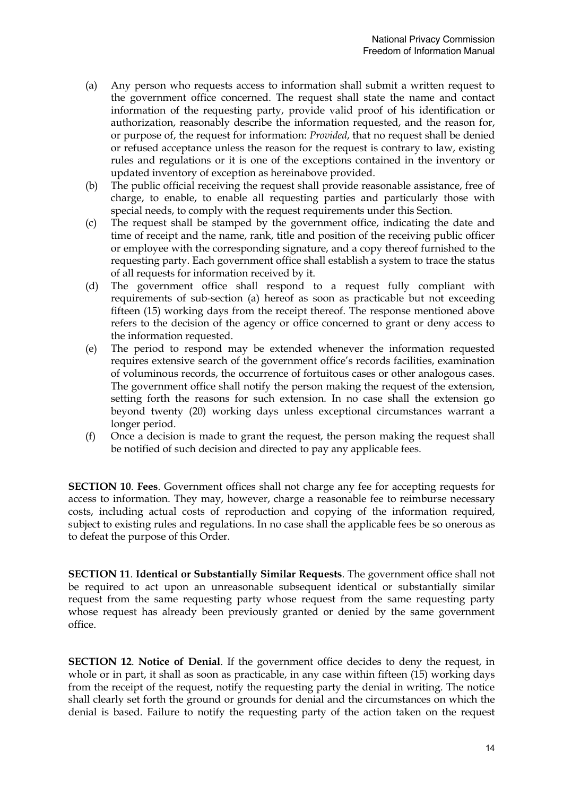- (a) Any person who requests access to information shall submit a written request to the government office concerned. The request shall state the name and contact information of the requesting party, provide valid proof of his identification or authorization, reasonably describe the information requested, and the reason for, or purpose of, the request for information: *Provided*, that no request shall be denied or refused acceptance unless the reason for the request is contrary to law, existing rules and regulations or it is one of the exceptions contained in the inventory or updated inventory of exception as hereinabove provided.
- (b) The public official receiving the request shall provide reasonable assistance, free of charge, to enable, to enable all requesting parties and particularly those with special needs, to comply with the request requirements under this Section.
- (c) The request shall be stamped by the government office, indicating the date and time of receipt and the name, rank, title and position of the receiving public officer or employee with the corresponding signature, and a copy thereof furnished to the requesting party. Each government office shall establish a system to trace the status of all requests for information received by it.
- (d) The government office shall respond to a request fully compliant with requirements of sub-section (a) hereof as soon as practicable but not exceeding fifteen (15) working days from the receipt thereof. The response mentioned above refers to the decision of the agency or office concerned to grant or deny access to the information requested.
- (e) The period to respond may be extended whenever the information requested requires extensive search of the government office's records facilities, examination of voluminous records, the occurrence of fortuitous cases or other analogous cases. The government office shall notify the person making the request of the extension, setting forth the reasons for such extension. In no case shall the extension go beyond twenty (20) working days unless exceptional circumstances warrant a longer period.
- (f) Once a decision is made to grant the request, the person making the request shall be notified of such decision and directed to pay any applicable fees.

**SECTION 10**. **Fees**. Government offices shall not charge any fee for accepting requests for access to information. They may, however, charge a reasonable fee to reimburse necessary costs, including actual costs of reproduction and copying of the information required, subject to existing rules and regulations. In no case shall the applicable fees be so onerous as to defeat the purpose of this Order.

**SECTION 11**. **Identical or Substantially Similar Requests**. The government office shall not be required to act upon an unreasonable subsequent identical or substantially similar request from the same requesting party whose request from the same requesting party whose request has already been previously granted or denied by the same government office.

**SECTION 12**. **Notice of Denial**. If the government office decides to deny the request, in whole or in part, it shall as soon as practicable, in any case within fifteen (15) working days from the receipt of the request, notify the requesting party the denial in writing. The notice shall clearly set forth the ground or grounds for denial and the circumstances on which the denial is based. Failure to notify the requesting party of the action taken on the request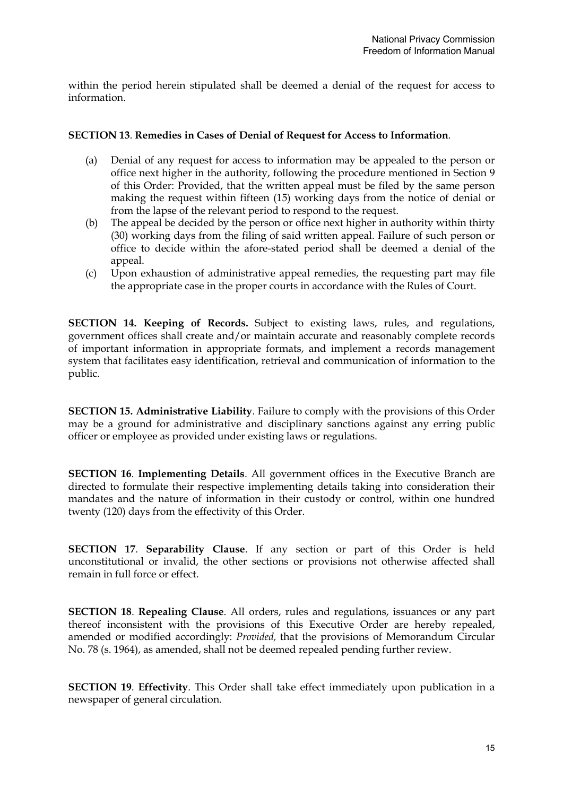within the period herein stipulated shall be deemed a denial of the request for access to information.

# **SECTION 13**. **Remedies in Cases of Denial of Request for Access to Information**.

- (a) Denial of any request for access to information may be appealed to the person or office next higher in the authority, following the procedure mentioned in Section 9 of this Order: Provided, that the written appeal must be filed by the same person making the request within fifteen (15) working days from the notice of denial or from the lapse of the relevant period to respond to the request.
- (b) The appeal be decided by the person or office next higher in authority within thirty (30) working days from the filing of said written appeal. Failure of such person or office to decide within the afore-stated period shall be deemed a denial of the appeal.
- (c) Upon exhaustion of administrative appeal remedies, the requesting part may file the appropriate case in the proper courts in accordance with the Rules of Court.

**SECTION 14. Keeping of Records.** Subject to existing laws, rules, and regulations, government offices shall create and/or maintain accurate and reasonably complete records of important information in appropriate formats, and implement a records management system that facilitates easy identification, retrieval and communication of information to the public.

**SECTION 15. Administrative Liability**. Failure to comply with the provisions of this Order may be a ground for administrative and disciplinary sanctions against any erring public officer or employee as provided under existing laws or regulations.

**SECTION 16**. **Implementing Details**. All government offices in the Executive Branch are directed to formulate their respective implementing details taking into consideration their mandates and the nature of information in their custody or control, within one hundred twenty (120) days from the effectivity of this Order.

**SECTION 17**. **Separability Clause**. If any section or part of this Order is held unconstitutional or invalid, the other sections or provisions not otherwise affected shall remain in full force or effect.

**SECTION 18**. **Repealing Clause**. All orders, rules and regulations, issuances or any part thereof inconsistent with the provisions of this Executive Order are hereby repealed, amended or modified accordingly: *Provided,* that the provisions of Memorandum Circular No. 78 (s. 1964), as amended, shall not be deemed repealed pending further review.

**SECTION 19**. **Effectivity**. This Order shall take effect immediately upon publication in a newspaper of general circulation.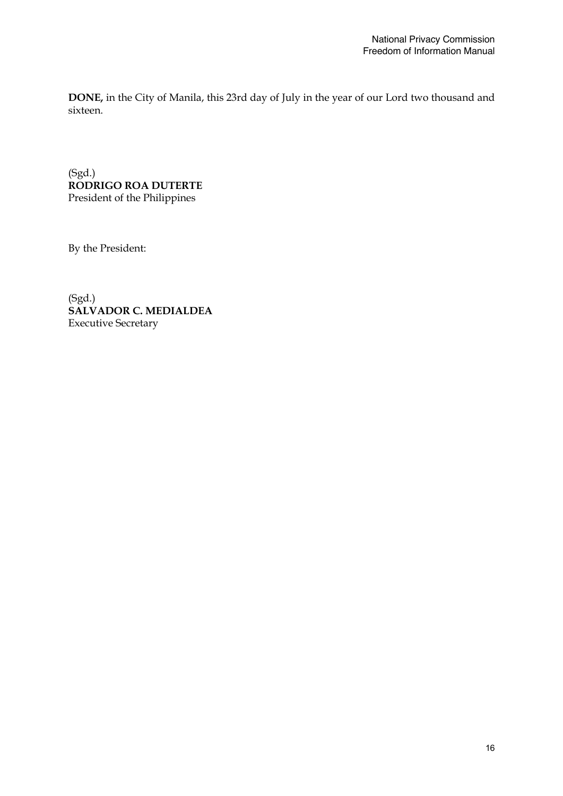**DONE,** in the City of Manila, this 23rd day of July in the year of our Lord two thousand and sixteen.

(Sgd.) **RODRIGO ROA DUTERTE**  President of the Philippines

By the President:

(Sgd.) **SALVADOR C. MEDIALDEA**  Executive Secretary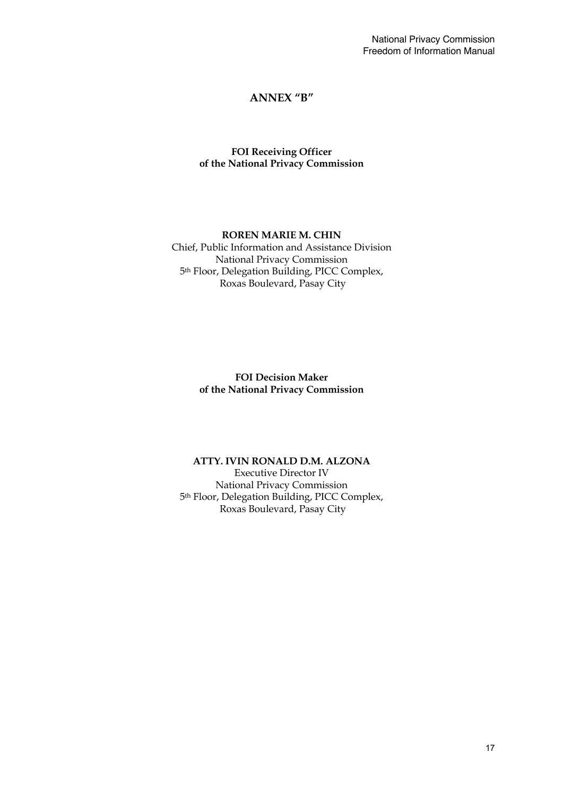# **ANNEX "B"**

# **FOI Receiving Officer of the National Privacy Commission**

### **ROREN MARIE M. CHIN** Chief, Public Information and Assistance Division National Privacy Commission 5th Floor, Delegation Building, PICC Complex, Roxas Boulevard, Pasay City

**FOI Decision Maker of the National Privacy Commission**

# **ATTY. IVIN RONALD D.M. ALZONA**

Executive Director IV National Privacy Commission 5th Floor, Delegation Building, PICC Complex, Roxas Boulevard, Pasay City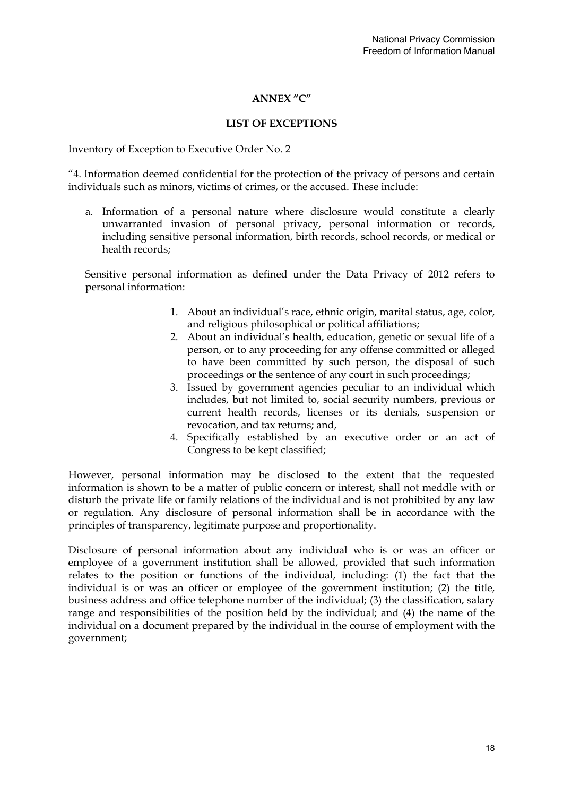# **ANNEX "C"**

# **LIST OF EXCEPTIONS**

Inventory of Exception to Executive Order No. 2

"4. Information deemed confidential for the protection of the privacy of persons and certain individuals such as minors, victims of crimes, or the accused. These include:

a. Information of a personal nature where disclosure would constitute a clearly unwarranted invasion of personal privacy, personal information or records, including sensitive personal information, birth records, school records, or medical or health records;

Sensitive personal information as defined under the Data Privacy of 2012 refers to personal information:

- 1. About an individual's race, ethnic origin, marital status, age, color, and religious philosophical or political affiliations;
- 2. About an individual's health, education, genetic or sexual life of a person, or to any proceeding for any offense committed or alleged to have been committed by such person, the disposal of such proceedings or the sentence of any court in such proceedings;
- 3. Issued by government agencies peculiar to an individual which includes, but not limited to, social security numbers, previous or current health records, licenses or its denials, suspension or revocation, and tax returns; and,
- 4. Specifically established by an executive order or an act of Congress to be kept classified;

However, personal information may be disclosed to the extent that the requested information is shown to be a matter of public concern or interest, shall not meddle with or disturb the private life or family relations of the individual and is not prohibited by any law or regulation. Any disclosure of personal information shall be in accordance with the principles of transparency, legitimate purpose and proportionality.

Disclosure of personal information about any individual who is or was an officer or employee of a government institution shall be allowed, provided that such information relates to the position or functions of the individual, including: (1) the fact that the individual is or was an officer or employee of the government institution; (2) the title, business address and office telephone number of the individual; (3) the classification, salary range and responsibilities of the position held by the individual; and (4) the name of the individual on a document prepared by the individual in the course of employment with the government;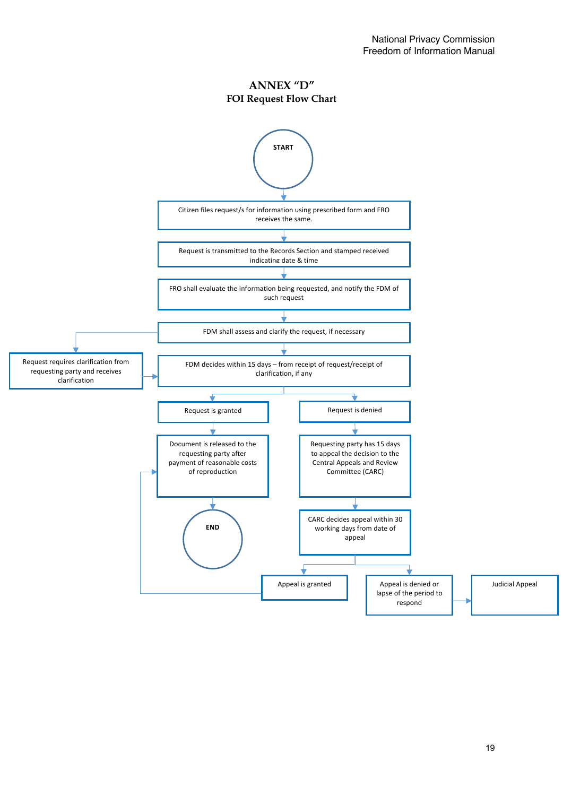**ANNEX "D" FOI Request Flow Chart**

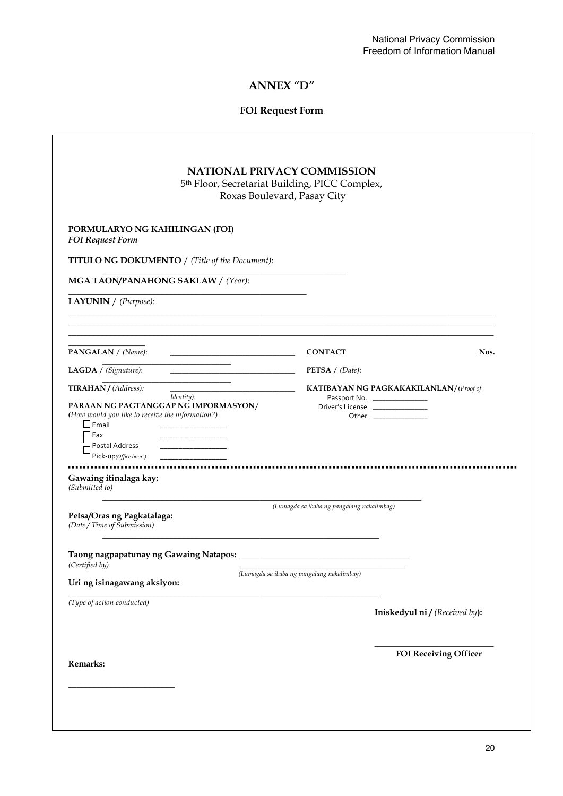# **ANNEX "D"**

# **FOI Request Form**

| <b>NATIONAL PRIVACY COMMISSION</b><br>5th Floor, Secretariat Building, PICC Complex,<br>Roxas Boulevard, Pasay City                                                                                                                                                                            |                                                                                                                                          |  |
|------------------------------------------------------------------------------------------------------------------------------------------------------------------------------------------------------------------------------------------------------------------------------------------------|------------------------------------------------------------------------------------------------------------------------------------------|--|
| PORMULARYO NG KAHILINGAN (FOI)<br><b>FOI Request Form</b>                                                                                                                                                                                                                                      |                                                                                                                                          |  |
| <b>TITULO NG DOKUMENTO</b> / (Title of the Document):<br>MGA TAON/PANAHONG SAKLAW / (Year):                                                                                                                                                                                                    |                                                                                                                                          |  |
| <b>LAYUNIN</b> $/$ (Purpose):                                                                                                                                                                                                                                                                  |                                                                                                                                          |  |
| <b>PANGALAN</b> / (Name):<br>the control of the control of the control of the control of the control of                                                                                                                                                                                        | <b>CONTACT</b><br>Nos.                                                                                                                   |  |
| <u> 1999 - John Barnett, f</u><br>LAGDA / (Signature):                                                                                                                                                                                                                                         | <b>PETSA</b> / $(Date)$ :                                                                                                                |  |
| <u> 1989 - Johann Barbara, martin a</u><br>TIRAHAN / (Address):<br>Identity):<br>PARAAN NG PAGTANGGAP NG IMPORMASYON/<br>(How would you like to receive the information?)<br>$\Box$ Email<br>$\Box$ Fax<br>Postal Address<br>Pick-up(Office hours)<br>Gawaing itinalaga kay:<br>(Submitted to) | <b>KATIBAYAN NG PAGKAKAKILANLAN/(Proof of</b><br>Passport No. ______________<br>Driver's License _______________<br>Other ______________ |  |
| Petsa/Oras ng Pagkatalaga:<br>(Date / Time of Submission)                                                                                                                                                                                                                                      | (Lumagda sa ibaba ng pangalang nakalimbag)                                                                                               |  |
| Taong nagpapatunay ng Gawaing Natapos:<br>(Certified by)<br>Uri ng isinagawang aksiyon:                                                                                                                                                                                                        | (Lumagda sa ibaba ng pangalang nakalimbag)                                                                                               |  |
| (Type of action conducted)                                                                                                                                                                                                                                                                     | Iniskedyul ni / (Received by):                                                                                                           |  |
|                                                                                                                                                                                                                                                                                                |                                                                                                                                          |  |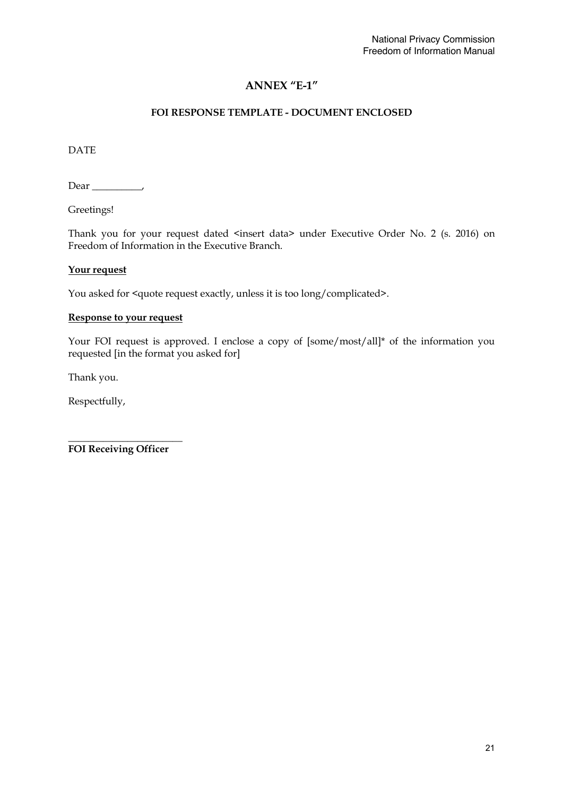# **ANNEX "E-1"**

# **FOI RESPONSE TEMPLATE - DOCUMENT ENCLOSED**

DATE

Dear \_\_\_\_\_\_\_\_\_\_,

Greetings!

Thank you for your request dated <insert data> under Executive Order No. 2 (s. 2016) on Freedom of Information in the Executive Branch.

### **Your request**

You asked for <quote request exactly, unless it is too long/complicated>.

### **Response to your request**

Your FOI request is approved. I enclose a copy of [some/most/all]\* of the information you requested [in the format you asked for]

Thank you.

Respectfully,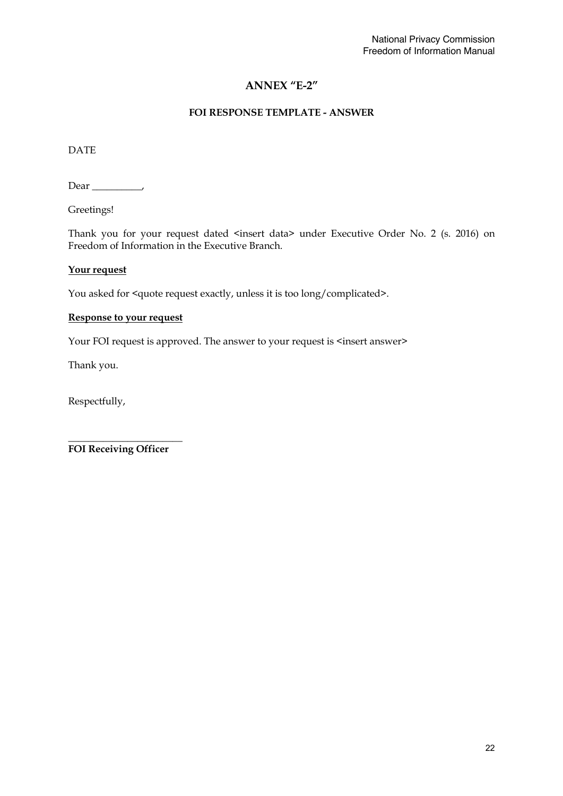# **ANNEX "E-2"**

### **FOI RESPONSE TEMPLATE - ANSWER**

DATE

Dear \_\_\_\_\_\_\_\_\_\_,

Greetings!

Thank you for your request dated <insert data> under Executive Order No. 2 (s. 2016) on Freedom of Information in the Executive Branch.

### **Your request**

You asked for <quote request exactly, unless it is too long/complicated>.

### **Response to your request**

Your FOI request is approved. The answer to your request is <insert answer>

Thank you.

Respectfully,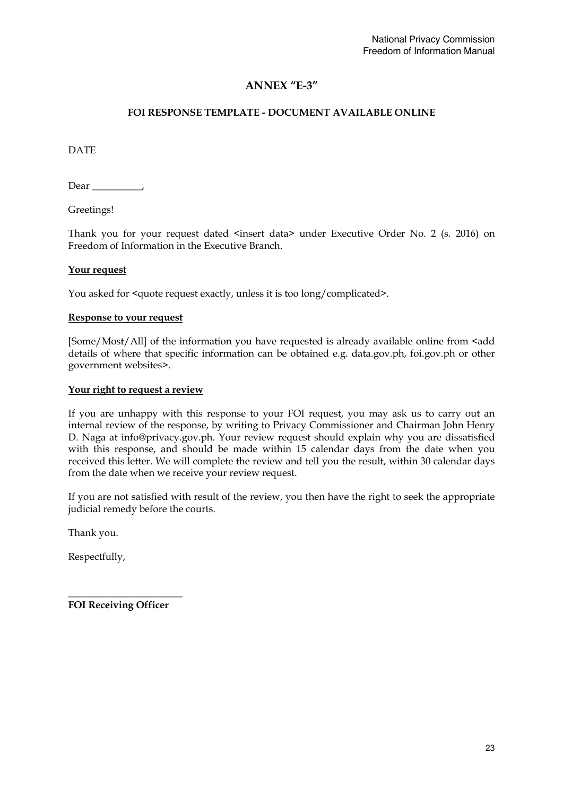# **ANNEX "E-3"**

# **FOI RESPONSE TEMPLATE - DOCUMENT AVAILABLE ONLINE**

DATE

Dear \_\_\_\_\_\_\_\_\_\_,

Greetings!

Thank you for your request dated <insert data> under Executive Order No. 2 (s. 2016) on Freedom of Information in the Executive Branch.

### **Your request**

You asked for <quote request exactly, unless it is too long/complicated>.

### **Response to your request**

[Some/Most/All] of the information you have requested is already available online from <add details of where that specific information can be obtained e.g. data.gov.ph, foi.gov.ph or other government websites>.

### **Your right to request a review**

If you are unhappy with this response to your FOI request, you may ask us to carry out an internal review of the response, by writing to Privacy Commissioner and Chairman John Henry D. Naga at info@privacy.gov.ph. Your review request should explain why you are dissatisfied with this response, and should be made within 15 calendar days from the date when you received this letter. We will complete the review and tell you the result, within 30 calendar days from the date when we receive your review request.

If you are not satisfied with result of the review, you then have the right to seek the appropriate judicial remedy before the courts.

Thank you.

Respectfully,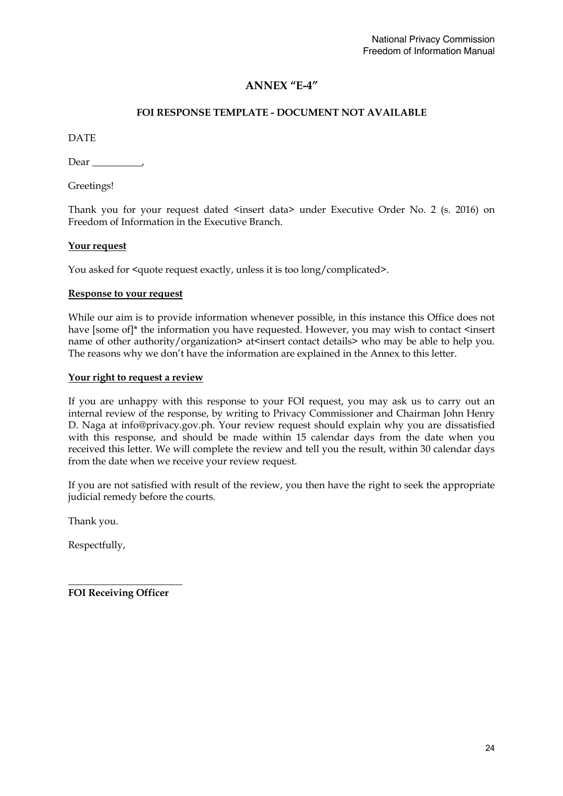# **ANNEX "E-4"**

# **FOI RESPONSE TEMPLATE - DOCUMENT NOT AVAILABLE**

DATE

Dear ,

Greetings!

Thank you for your request dated <insert data> under Executive Order No. 2 (s. 2016) on Freedom of Information in the Executive Branch.

### **Your request**

You asked for <quote request exactly, unless it is too long/complicated>.

### **Response to your request**

While our aim is to provide information whenever possible, in this instance this Office does not have [some of]\* the information you have requested. However, you may wish to contact <insert name of other authority/organization> at<insert contact details> who may be able to help you. The reasons why we don't have the information are explained in the Annex to this letter.

### **Your right to request a review**

If you are unhappy with this response to your FOI request, you may ask us to carry out an internal review of the response, by writing to Privacy Commissioner and Chairman John Henry D. Naga at info@privacy.gov.ph. Your review request should explain why you are dissatisfied with this response, and should be made within 15 calendar days from the date when you received this letter. We will complete the review and tell you the result, within 30 calendar days from the date when we receive your review request.

If you are not satisfied with result of the review, you then have the right to seek the appropriate judicial remedy before the courts.

Thank you.

Respectfully,